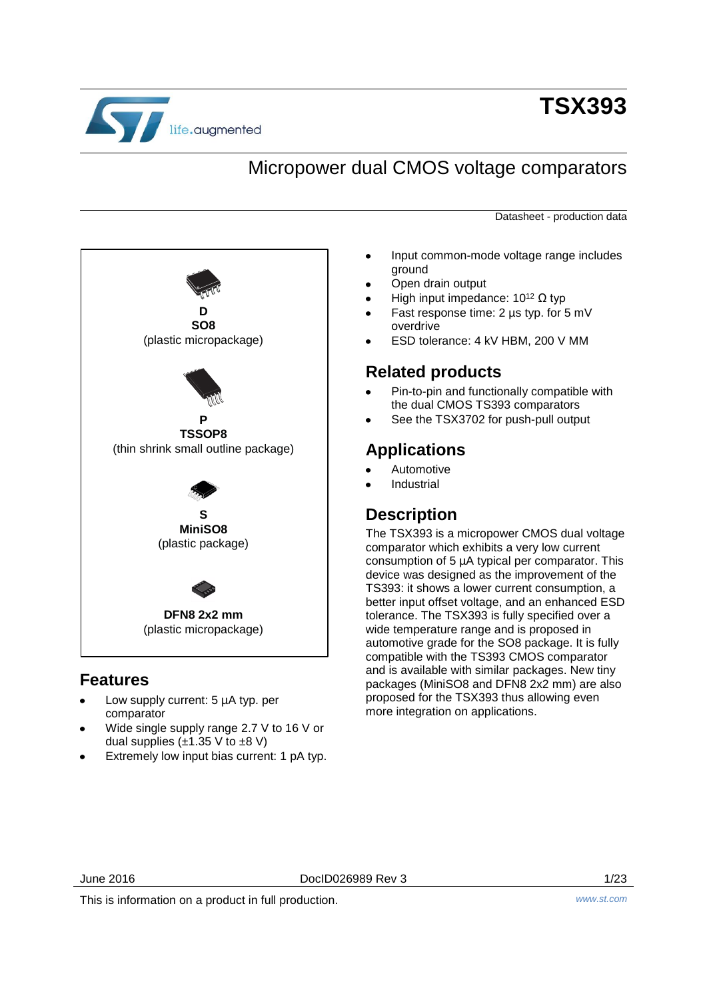

# **TSX393**

## Micropower dual CMOS voltage comparators

Datasheet - production data



## **Features**

- Low supply current: 5 µA typ. per comparator
- Wide single supply range 2.7 V to 16 V or dual supplies  $(\pm 1.35 \text{ V to } \pm 8 \text{ V})$
- Extremely low input bias current: 1 pA typ.
- Input common-mode voltage range includes ground
- Open drain output
- High input impedance:  $10^{12}$  Ω typ
- Fast response time: 2 µs typ. for 5 mV overdrive
- ESD tolerance: 4 kV HBM, 200 V MM

## **Related products**

- Pin-to-pin and functionally compatible with the dual CMOS TS393 comparators
- See the TSX3702 for push-pull output

## **Applications**

- Automotive
- Industrial

## **Description**

The TSX393 is a micropower CMOS dual voltage comparator which exhibits a very low current consumption of 5 µA typical per comparator. This device was designed as the improvement of the TS393: it shows a lower current consumption, a better input offset voltage, and an enhanced ESD tolerance. The TSX393 is fully specified over a wide temperature range and is proposed in automotive grade for the SO8 package. It is fully compatible with the TS393 CMOS comparator and is available with similar packages. New tiny packages (MiniSO8 and DFN8 2x2 mm) are also proposed for the TSX393 thus allowing even more integration on applications.

June 2016 DocID026989 Rev 3 1/23

This is information on a product in full production. *www.st.com*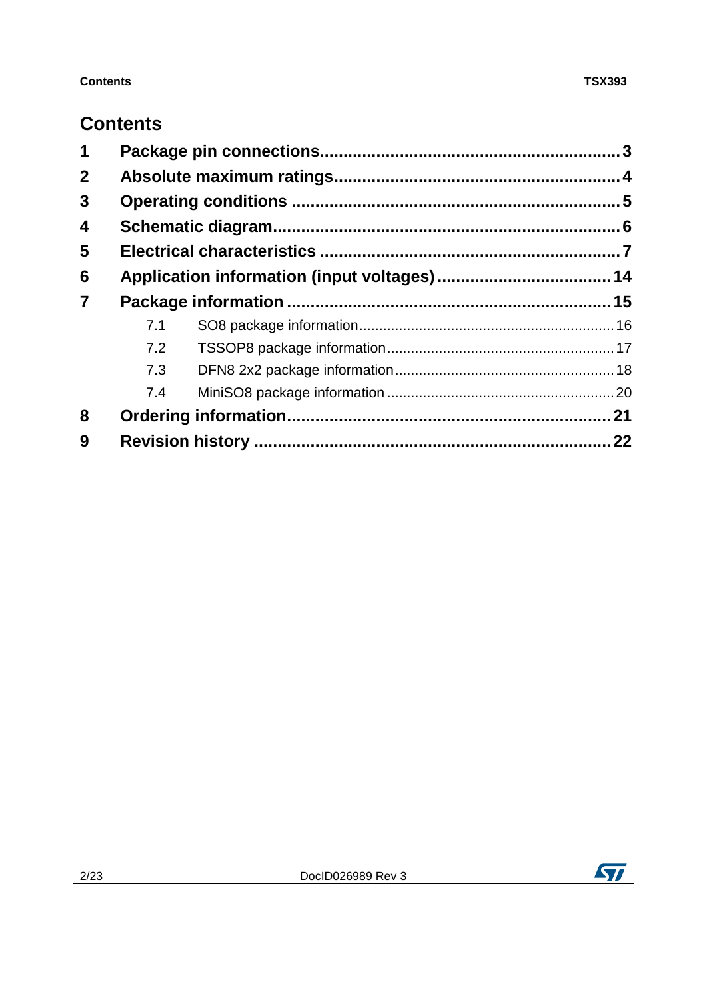## **Contents**

| 1              |     |    |
|----------------|-----|----|
| $\mathbf{2}$   |     |    |
| 3              |     |    |
| 4              |     |    |
| 5              |     |    |
| 6              |     |    |
| $\overline{7}$ |     |    |
|                | 7.1 |    |
|                | 7.2 |    |
|                | 7.3 |    |
|                | 7.4 |    |
| 8              |     |    |
| 9              |     | 22 |

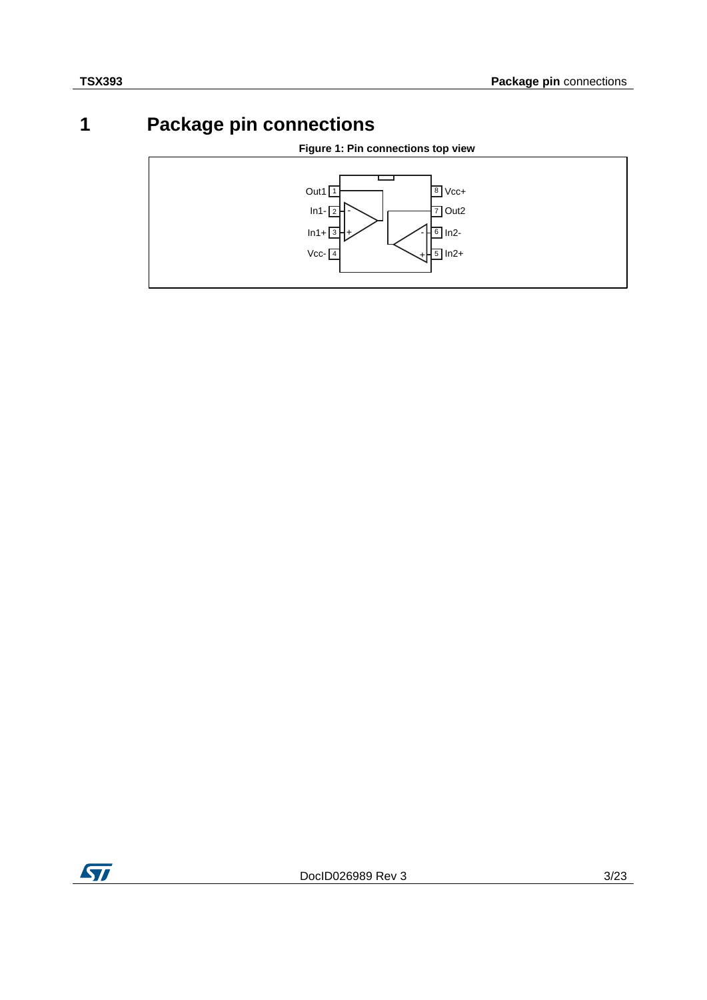## **1 Package pin connections**

## **Figure 1: Pin connections top view**

<span id="page-2-0"></span>

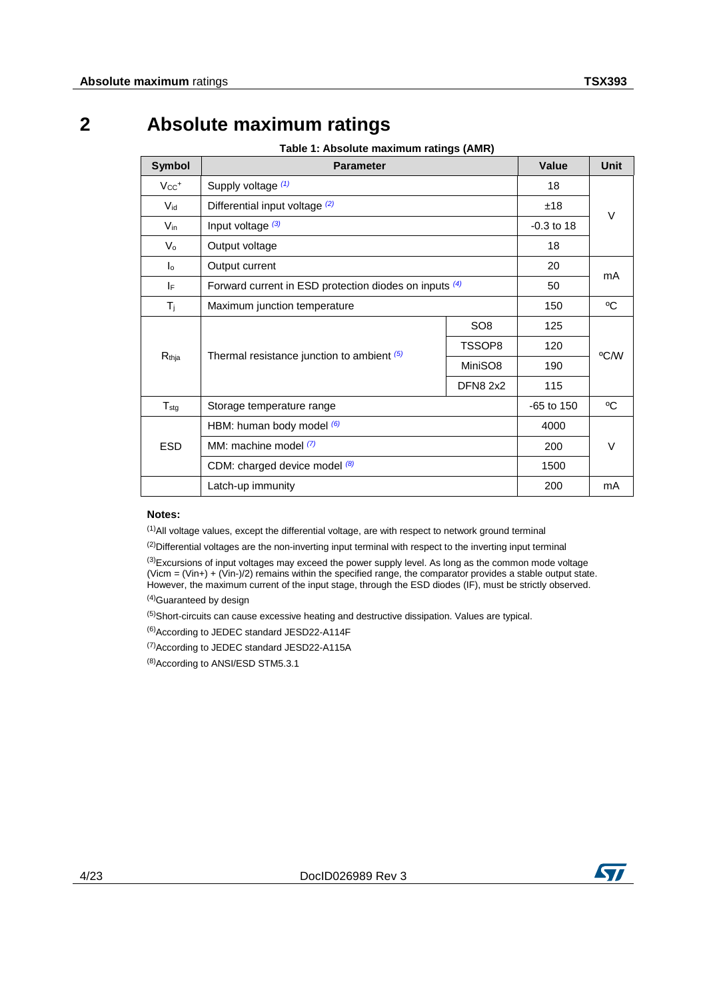## **2 Absolute maximum ratings**

**Table 1: Absolute maximum ratings (AMR)**

<span id="page-3-0"></span>

| <b>Symbol</b>        | <b>Parameter</b>                                       | <b>Value</b>    | Unit         |      |
|----------------------|--------------------------------------------------------|-----------------|--------------|------|
| $Vcc+$               | Supply voltage (1)                                     |                 | 18           |      |
| $V_{\text{id}}$      | Differential input voltage (2)                         | ±18             | $\vee$       |      |
| $V_{\text{in}}$      | Input voltage (3)                                      |                 | $-0.3$ to 18 |      |
| $V_{\rm o}$          | Output voltage                                         |                 | 18           |      |
| $\mathsf{I}^{\circ}$ | Output current                                         | 20              | mA           |      |
| IF                   | Forward current in ESD protection diodes on inputs (4) | 50              |              |      |
| $T_{j}$              | Maximum junction temperature                           | 150             | °C           |      |
|                      | Thermal resistance junction to ambient (5)             | SO <sub>8</sub> | 125          | °C/W |
|                      |                                                        | TSSOP8          | 120          |      |
| $R_{\text{thja}}$    |                                                        | MiniSO8         | 190          |      |
|                      |                                                        | <b>DFN8 2x2</b> | 115          |      |
| $T_{\text{stg}}$     | Storage temperature range                              |                 | $-65$ to 150 | °C   |
|                      | HBM: human body model (6)                              |                 | 4000         |      |
| <b>ESD</b>           | MM: machine model (7)                                  | 200             | $\vee$       |      |
|                      | CDM: charged device model (8)                          | 1500            |              |      |
|                      | Latch-up immunity                                      |                 | 200          | mA   |

### **Notes:**

<span id="page-3-1"></span>(1)All voltage values, except the differential voltage, are with respect to network ground terminal

<span id="page-3-2"></span><sup>(2)</sup>Differential voltages are the non-inverting input terminal with respect to the inverting input terminal

<span id="page-3-3"></span><sup>(3)</sup>Excursions of input voltages may exceed the power supply level. As long as the common mode voltage (Vicm = (Vin+) + (Vin-)/2) remains within the specified range, the comparator provides a stable output state. However, the maximum current of the input stage, through the ESD diodes (IF), must be strictly observed.

<span id="page-3-4"></span>(4)Guaranteed by design

<span id="page-3-5"></span>(5)Short-circuits can cause excessive heating and destructive dissipation. Values are typical.

<span id="page-3-6"></span>(6)According to JEDEC standard JESD22-A114F

<span id="page-3-7"></span>(7)According to JEDEC standard JESD22-A115A

<span id="page-3-8"></span>(8)According to ANSI/ESD STM5.3.1

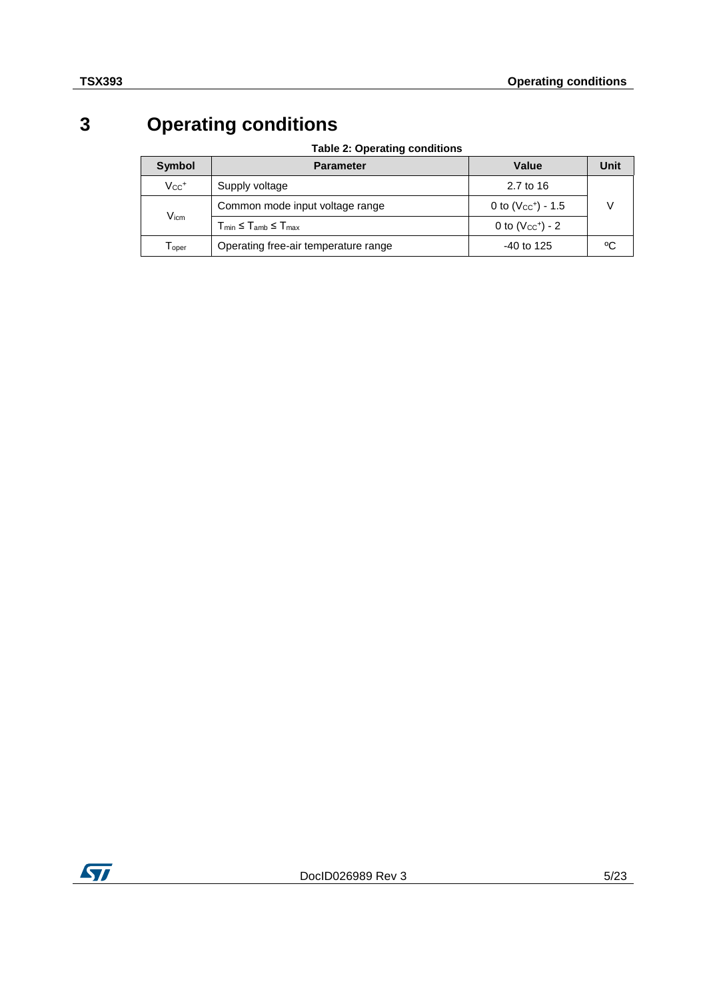# **3 Operating conditions**

### **Table 2: Operating conditions**

<span id="page-4-0"></span>

| Symbol                      | <b>Parameter</b>                                         | Value                   | Unit |
|-----------------------------|----------------------------------------------------------|-------------------------|------|
| $Vec^{+}$                   | Supply voltage                                           | 2.7 to 16               |      |
|                             | Common mode input voltage range                          | 0 to $(V_{CC}^+)$ - 1.5 |      |
| $\mathsf{V}_{\mathsf{icm}}$ | $T_{\text{min}} \leq T_{\text{amb}} \leq T_{\text{max}}$ | 0 to $(Vcc+) - 2$       |      |
| l oper                      | Operating free-air temperature range                     | $-40$ to 125            | ٥C   |

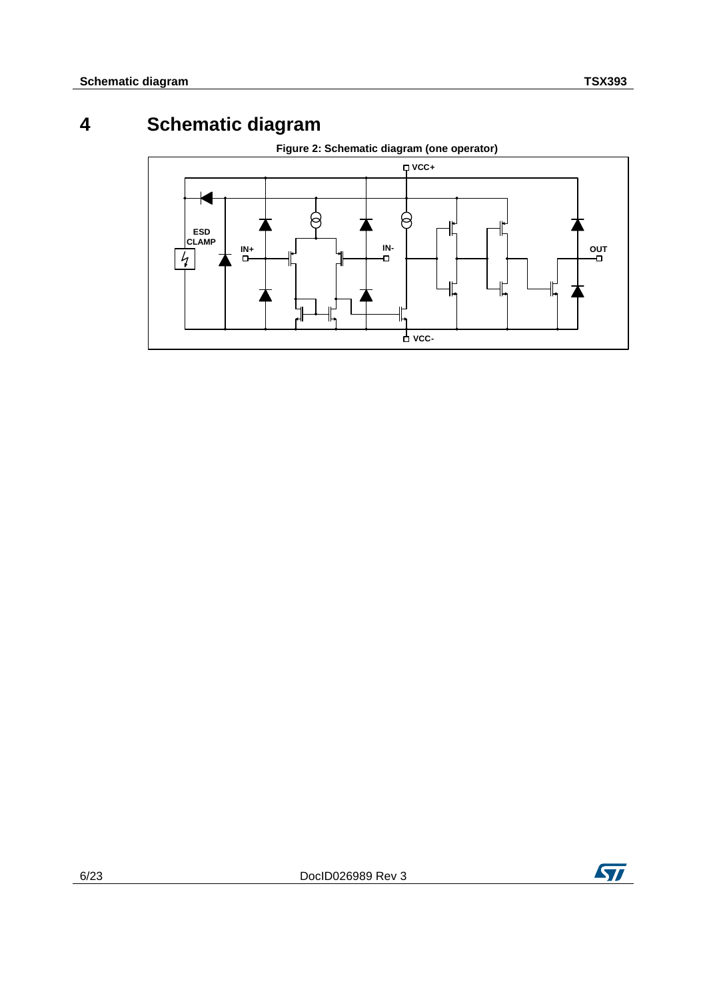## **4 Schematic diagram**

<span id="page-5-1"></span><span id="page-5-0"></span>

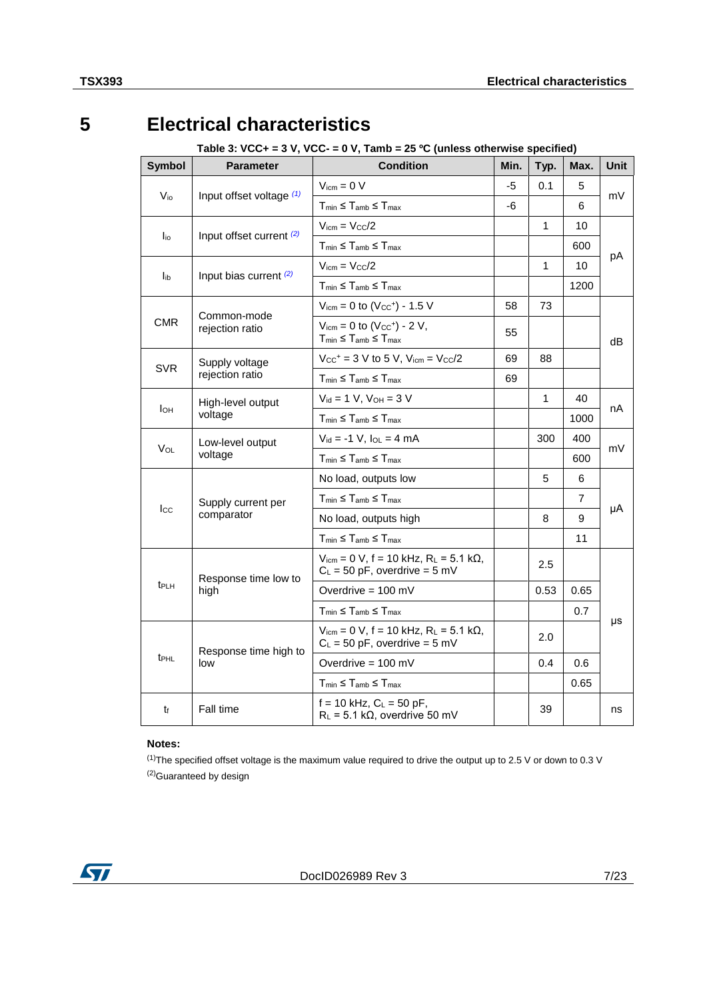# **5 Electrical characteristics**

### <span id="page-6-3"></span>**Table 3: VCC+ = 3 V, VCC- = 0 V, Tamb = 25 ºC (unless otherwise specified)**

<span id="page-6-4"></span><span id="page-6-0"></span>

| <b>Symbol</b>    | <b>Parameter</b>               | <b>Condition</b>                                                                                | Min. | Typ.         | Max.           | Unit |  |
|------------------|--------------------------------|-------------------------------------------------------------------------------------------------|------|--------------|----------------|------|--|
|                  |                                | $V_{\text{icm}} = 0 V$                                                                          | -5   | 0.1          | 5              |      |  |
| $V_{i0}$         | Input offset voltage $(1)$     | $T_{min} \leq T_{amb} \leq T_{max}$                                                             | -6   |              | 6              | mV   |  |
|                  |                                | $V_{\text{icm}} = V_{\text{CC}}/2$                                                              |      | 1            | 10             |      |  |
| <u>lio</u>       | Input offset current (2)       | $T_{min} \leq T_{amb} \leq T_{max}$                                                             |      |              | 600            |      |  |
|                  |                                | $V_{icm} = V_{CC}/2$                                                                            |      | 1            | 10             | pA   |  |
| l <sub>ib</sub>  | Input bias current (2)         | $T_{min} \leq T_{amb} \leq T_{max}$                                                             |      |              | 1200           |      |  |
|                  |                                | $V_{icm} = 0$ to $(V_{CC}^+) - 1.5$ V                                                           | 58   | 73           |                |      |  |
| <b>CMR</b>       | Common-mode<br>rejection ratio | $V_{\text{icm}} = 0$ to $(V_{\text{CC}}^+)$ - 2 V,<br>$T_{min} \leq T_{amb} \leq T_{max}$       | 55   |              |                | dB   |  |
|                  | Supply voltage                 | $Vcc+ = 3 V to 5 V, Vicm = Vcc/2$                                                               | 69   | 88           |                |      |  |
| <b>SVR</b>       | rejection ratio                | $T_{min} \leq T_{amb} \leq T_{max}$                                                             | 69   |              |                |      |  |
|                  | High-level output              | $V_{id} = 1 V$ , $V_{OH} = 3 V$                                                                 |      | $\mathbf{1}$ | 40             |      |  |
| Iон              | voltage                        | $T_{min} \leq T_{amb} \leq T_{max}$                                                             |      |              | 1000           | nA   |  |
| VOL              | Low-level output               | $V_{id} = -1 V$ , $I_{OL} = 4 mA$                                                               |      | 300          | 400            | mV   |  |
|                  | voltage                        | $T_{min} \leq T_{amb} \leq T_{max}$                                                             |      |              | 600            |      |  |
|                  |                                | No load, outputs low                                                                            |      | 5            | 6              |      |  |
| $_{\rm lcc}$     | Supply current per             | $T_{\text{min}} \leq T_{\text{amb}} \leq T_{\text{max}}$                                        |      |              | $\overline{7}$ |      |  |
|                  | comparator                     | No load, outputs high                                                                           |      | 8            | 9              | μA   |  |
|                  |                                | $T_{min} \leq T_{amb} \leq T_{max}$                                                             |      |              | 11             |      |  |
|                  | Response time low to           | $V_{\text{icm}} = 0$ V, f = 10 kHz, R <sub>L</sub> = 5.1 kΩ,<br>$C_L = 50$ pF, overdrive = 5 mV |      | 2.5          |                |      |  |
| t <sub>PLH</sub> | high                           | Overdrive = $100 \text{ mV}$                                                                    |      | 0.53         | 0.65           |      |  |
|                  |                                | $T_{min} \leq T_{amb} \leq T_{max}$                                                             |      |              | 0.7            |      |  |
|                  | Response time high to          | $V_{icm}$ = 0 V, f = 10 kHz, R <sub>L</sub> = 5.1 kΩ,<br>$C_L = 50$ pF, overdrive = 5 mV        |      | 2.0          |                | μs   |  |
| t <sub>PHL</sub> | low                            | Overdrive = $100 \text{ mV}$                                                                    |      | 0.4          | 0.6            |      |  |
|                  |                                | $T_{min} \leq T_{amb} \leq T_{max}$                                                             |      |              | 0.65           |      |  |
| tf               | <b>Fall time</b>               | $f = 10$ kHz, $C_L = 50$ pF,<br>$R_L$ = 5.1 k $\Omega$ , overdrive 50 mV                        |      | 39           |                | ns   |  |

### **Notes:**

<span id="page-6-5"></span><span id="page-6-2"></span><span id="page-6-1"></span> $(1)$ The specified offset voltage is the maximum value required to drive the output up to 2.5 V or down to 0.3 V (2)Guaranteed by design

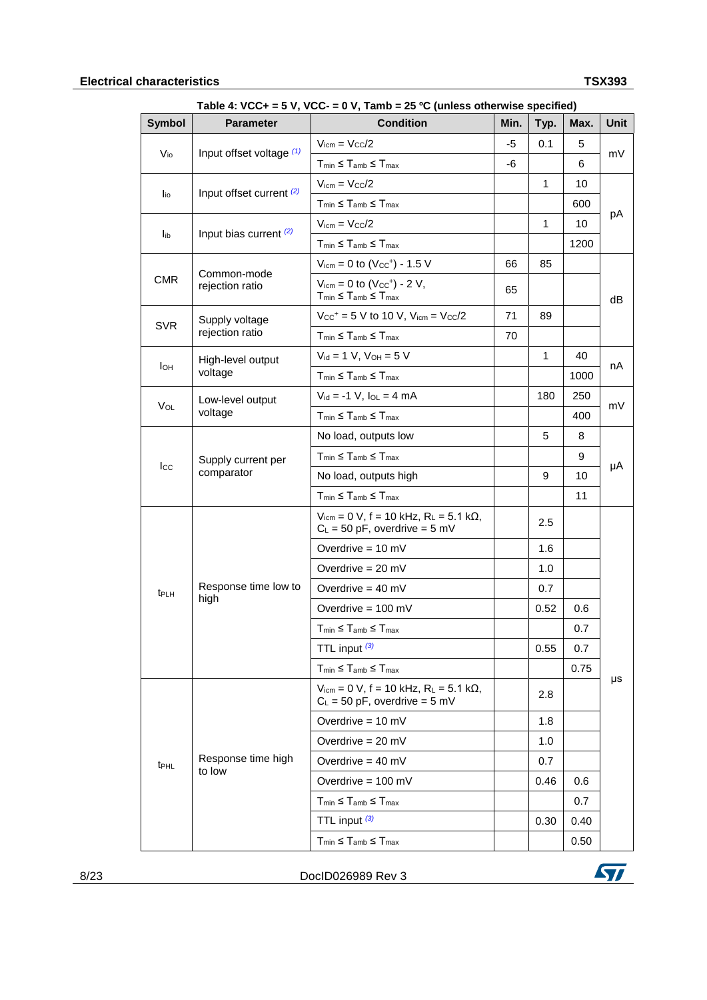### **Electrical characteristics TSX393**

| <b>Symbol</b>    | - , <b>.</b><br><b>Parameter</b> | $50 - 6$ v, runno – 20 O (unicas otherwise specifica)<br><b>Condition</b>                                      | Min. | Typ.         | Max.    | Unit |
|------------------|----------------------------------|----------------------------------------------------------------------------------------------------------------|------|--------------|---------|------|
|                  |                                  | $V_{\text{icm}} = V_{\text{CC}}/2$                                                                             | $-5$ | 0.1          | 5       |      |
| $V_{i0}$         | Input offset voltage (1)         | $T_{min} \leq T_{amb} \leq T_{max}$                                                                            | -6   |              | 6       | mV   |
|                  |                                  | $V_{\text{icm}} = V_{\text{C}} c / 2$                                                                          |      | $\mathbf{1}$ | 10      |      |
| l <sub>io</sub>  | Input offset current (2)         | $T_{min} \leq T_{amb} \leq T_{max}$                                                                            |      |              | 600     |      |
|                  |                                  | $V_{\text{icm}} = V_{\text{CC}}/2$                                                                             |      | $\mathbf{1}$ | 10      | рA   |
| l <sub>ib</sub>  | Input bias current $(2)$         | $T_{min} \leq T_{amb} \leq T_{max}$                                                                            |      |              | 1200    |      |
|                  |                                  | $V_{\text{icm}} = 0$ to $(V_{\text{CC}}^{+}) - 1.5$ V                                                          | 66   | 85           |         |      |
| <b>CMR</b>       | Common-mode<br>rejection ratio   | $V_{\text{icm}} = 0$ to $(V_{\text{CC}}^+)$ - 2 V,<br>$T_{\text{min}} \leq T_{\text{amb}} \leq T_{\text{max}}$ | 65   |              |         | dB   |
|                  | Supply voltage                   | $V_{CC}$ <sup>+</sup> = 5 V to 10 V, $V_{icm}$ = $V_{CC}/2$                                                    | 71   | 89           |         |      |
| <b>SVR</b>       | rejection ratio                  | $T_{min} \leq T_{amb} \leq T_{max}$                                                                            | 70   |              |         |      |
|                  | High-level output                | $V_{id} = 1 V$ , $V_{OH} = 5 V$                                                                                |      | $\mathbf{1}$ | 40      |      |
| Iон              | voltage                          | $T_{min} \leq T_{amb} \leq T_{max}$                                                                            |      |              | 1000    | nА   |
|                  | Low-level output                 | $V_{id} = -1 V$ , $I_{OL} = 4 mA$                                                                              |      | 180          | 250     |      |
| Vol              | voltage                          | $T_{min} \leq T_{amb} \leq T_{max}$                                                                            |      |              | 400     | mV   |
|                  | Supply current per<br>comparator | No load, outputs low                                                                                           |      | 5            | 8       | μA   |
|                  |                                  | $T_{min} \leq T_{amb} \leq T_{max}$                                                                            |      |              | 9       |      |
| $_{\text{lcc}}$  |                                  | No load, outputs high                                                                                          |      | 9            | 10      |      |
|                  |                                  | $T_{min} \leq T_{amb} \leq T_{max}$                                                                            |      |              | 11      |      |
|                  |                                  | $V_{\text{icm}} = 0$ V, f = 10 kHz, R <sub>L</sub> = 5.1 kΩ,<br>$C_L = 50$ pF, overdrive = 5 mV                |      | 2.5          |         |      |
|                  |                                  | Overdrive = $10 \text{ mV}$                                                                                    |      | 1.6          |         |      |
|                  |                                  | Overdrive = $20 \text{ mV}$                                                                                    |      | 1.0          |         |      |
| t <sub>PLH</sub> | Response time low to             | Overdrive = $40 \text{ mV}$                                                                                    |      | 0.7          |         |      |
|                  | high                             | Overdrive = $100 \text{ mV}$                                                                                   |      | 0.52         | 0.6     |      |
|                  |                                  | $T_{min} \leq T_{amb} \leq T_{max}$                                                                            |      |              | 0.7     |      |
|                  |                                  | TTL input $(3)$                                                                                                |      | 0.55         | 0.7     |      |
|                  |                                  | $T_{min} \leq T_{amb} \leq T_{max}$                                                                            |      |              | 0.75    |      |
|                  |                                  | $V_{\text{icm}} = 0$ V, f = 10 kHz, R <sub>L</sub> = 5.1 kΩ,<br>$C_L = 50$ pF, overdrive = 5 mV                |      | 2.8          |         | μs   |
|                  |                                  | Overdrive = $10 \text{ mV}$                                                                                    |      | 1.8          |         |      |
|                  |                                  | Overdrive = $20$ mV                                                                                            |      | 1.0          |         |      |
| t <sub>PHL</sub> | Response time high               | Overdrive = $40 \text{ mV}$                                                                                    |      | 0.7          |         |      |
|                  | to low                           | Overdrive = $100 \text{ mV}$                                                                                   |      | 0.46         | $0.6\,$ |      |
|                  |                                  | $T_{min} \leq T_{amb} \leq T_{max}$                                                                            |      |              | 0.7     |      |
|                  |                                  | TTL input $(3)$                                                                                                |      | 0.30         | 0.40    |      |
|                  |                                  | $T_{min} \leq T_{amb} \leq T_{max}$                                                                            |      |              | 0.50    |      |

<span id="page-7-0"></span>**Table 4: VCC+ = 5 V, VCC- = 0 V, Tamb = 25 ºC (unless otherwise specified)**

8/23 DocID026989 Rev 3

<span id="page-7-1"></span>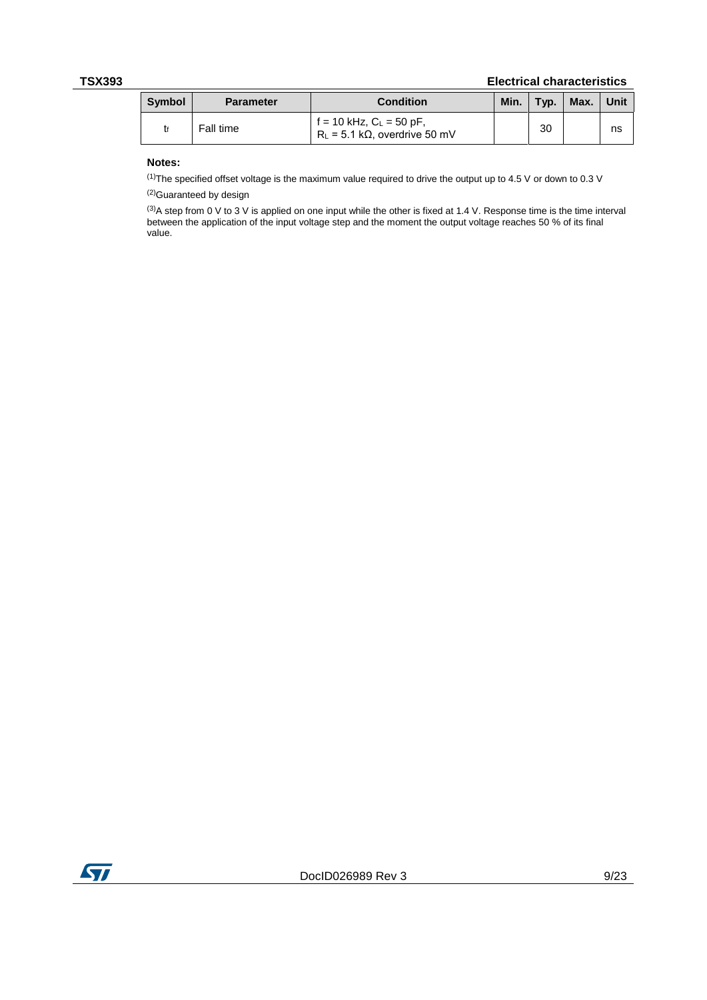### **TSX393 Electrical characteristics**

| <b>Symbol</b> | <b>Parameter</b> | <b>Condition</b>                                                         | Min. | Typ. | Max. | Unit |
|---------------|------------------|--------------------------------------------------------------------------|------|------|------|------|
|               | Fall time        | $f = 10$ kHz, $C_L = 50$ pF,<br>$R_L$ = 5.1 k $\Omega$ , overdrive 50 mV |      | 30   |      | ns   |

### **Notes:**

<span id="page-8-0"></span> $(1)$ The specified offset voltage is the maximum value required to drive the output up to 4.5 V or down to 0.3 V

<span id="page-8-1"></span>(2)Guaranteed by design

<span id="page-8-3"></span><span id="page-8-2"></span><sup>(3)</sup>A step from 0 V to 3 V is applied on one input while the other is fixed at 1.4 V. Response time is the time interval between the application of the input voltage step and the moment the output voltage reaches 50 % of its final value.

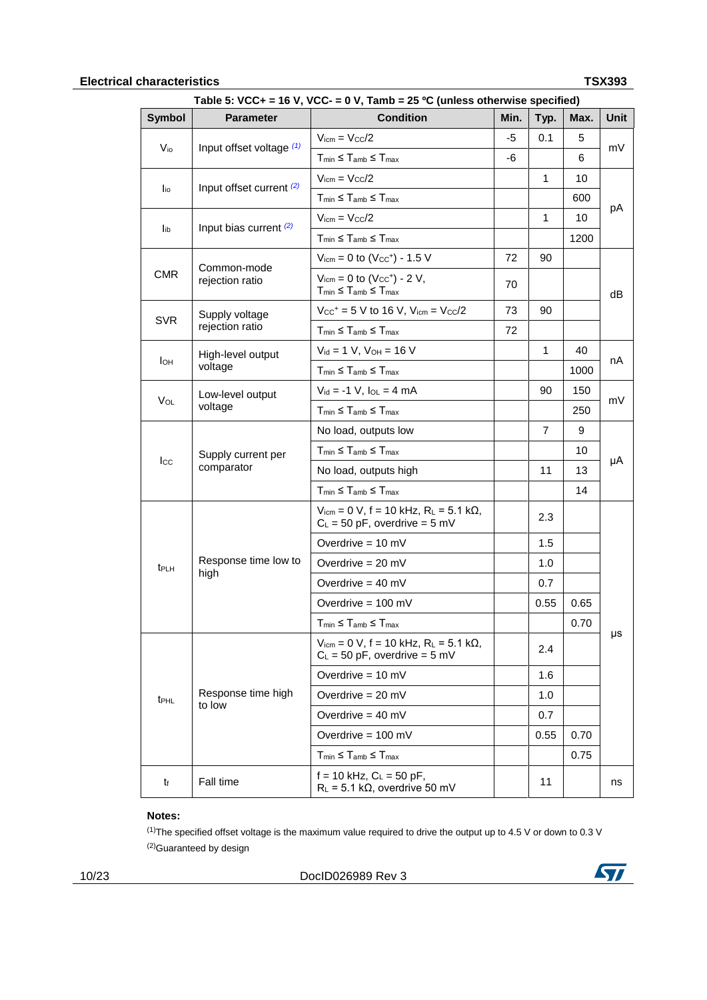### **Electrical characteristics TSX393**

| Table 5: VCC+ = 16 V, VCC- = 0 V, Tamb = 25 °C (unless otherwise specified) |                                  |                                                                                                                   |      |                |      |      |  |
|-----------------------------------------------------------------------------|----------------------------------|-------------------------------------------------------------------------------------------------------------------|------|----------------|------|------|--|
| <b>Symbol</b>                                                               | <b>Parameter</b>                 | <b>Condition</b>                                                                                                  | Min. | Typ.           | Max. | Unit |  |
| $V_{i0}$                                                                    | Input offset voltage (1)         | $V_{icm} = V_{CC}/2$                                                                                              | -5   | 0.1            | 5    | mV   |  |
|                                                                             |                                  | $T_{min} \leq T_{amb} \leq T_{max}$                                                                               | -6   |                | 6    |      |  |
| $I_{\text{io}}$                                                             | Input offset current (2)         | $V_{\text{icm}} = V_{\text{CC}}/2$                                                                                |      | 1              | 10   |      |  |
|                                                                             |                                  | $T_{min} \leq T_{amb} \leq T_{max}$                                                                               |      |                | 600  |      |  |
|                                                                             | Input bias current $(2)$         | $V_{icm} = V_{CC}/2$                                                                                              |      | 1              | 10   | рA   |  |
| lib                                                                         |                                  | $T_{min} \leq T_{amb} \leq T_{max}$                                                                               |      |                | 1200 |      |  |
|                                                                             |                                  | $V_{icm} = 0$ to $(V_{CC}^+) - 1.5$ V                                                                             | 72   | 90             |      |      |  |
| <b>CMR</b>                                                                  | Common-mode<br>rejection ratio   | $V_{\text{icm}} = 0$ to $(V_{\text{CC}}^+)$ - 2 V,<br>$T_{min} \leq T_{amb} \leq T_{max}$                         | 70   |                |      | dB   |  |
|                                                                             | Supply voltage                   | $V_{CC}$ <sup>+</sup> = 5 V to 16 V, $V_{icm}$ = $V_{CC}/2$                                                       | 73   | 90             |      |      |  |
| <b>SVR</b>                                                                  | rejection ratio                  | $T_{min} \leq T_{amb} \leq T_{max}$                                                                               | 72   |                |      |      |  |
|                                                                             | High-level output                | $V_{id} = 1 V$ , $V_{OH} = 16 V$                                                                                  |      | $\mathbf{1}$   | 40   |      |  |
| Iон                                                                         | voltage                          | $T_{min} \leq T_{amb} \leq T_{max}$                                                                               |      |                | 1000 | nA   |  |
|                                                                             | Low-level output                 | $V_{id} = -1 V$ , $I_{OL} = 4 mA$                                                                                 |      | 90             | 150  |      |  |
| $V_{OL}$                                                                    | voltage                          | $T_{min} \leq T_{amb} \leq T_{max}$                                                                               |      |                | 250  | mV   |  |
|                                                                             | Supply current per<br>comparator | No load, outputs low                                                                                              |      | $\overline{7}$ | 9    | μA   |  |
|                                                                             |                                  | $T_{min} \leq T_{amb} \leq T_{max}$                                                                               |      |                | 10   |      |  |
| <b>I</b> cc                                                                 |                                  | No load, outputs high                                                                                             |      | 11             | 13   |      |  |
|                                                                             |                                  | $T_{min} \leq T_{amb} \leq T_{max}$                                                                               |      |                | 14   |      |  |
|                                                                             |                                  | $V_{\text{icm}} = 0 \text{ V}$ , f = 10 kHz, R <sub>L</sub> = 5.1 k $\Omega$ ,<br>$C_L$ = 50 pF, overdrive = 5 mV |      | 2.3            |      |      |  |
|                                                                             |                                  | Overdrive = $10 \text{ mV}$                                                                                       |      | 1.5            |      |      |  |
| t <sub>PLH</sub>                                                            | Response time low to             | Overdrive $= 20$ mV                                                                                               |      | 1.0            |      |      |  |
|                                                                             | high                             | Overdrive = $40 \text{ mV}$                                                                                       |      | 0.7            |      |      |  |
|                                                                             |                                  | Overdrive = $100 \text{ mV}$                                                                                      |      | 0.55           | 0.65 |      |  |
|                                                                             |                                  | $T_{min} \leq T_{amb} \leq T_{max}$                                                                               |      |                | 0.70 |      |  |
|                                                                             |                                  | $V_{\text{icm}} = 0$ V, f = 10 kHz, R <sub>L</sub> = 5.1 kΩ,<br>$C_L = 50$ pF, overdrive = 5 mV                   |      | 2.4            |      | μs   |  |
|                                                                             |                                  | Overdrive = $10 \text{ mV}$                                                                                       |      | 1.6            |      |      |  |
| <b>t</b> <sub>PHL</sub>                                                     | Response time high               | Overdrive = $20 \text{ mV}$                                                                                       |      | 1.0            |      |      |  |
|                                                                             | to low                           | Overdrive = $40 \text{ mV}$                                                                                       |      | 0.7            |      |      |  |
|                                                                             |                                  | Overdrive = $100 \text{ mV}$                                                                                      |      | 0.55           | 0.70 |      |  |
|                                                                             |                                  | $T_{min} \leq T_{amb} \leq T_{max}$                                                                               |      |                | 0.75 |      |  |
| tf                                                                          | Fall time                        | $f = 10$ kHz, $C_L = 50$ pF,<br>$R_L$ = 5.1 k $\Omega$ , overdrive 50 mV                                          |      | 11             |      | ns   |  |

### **Notes:**

<span id="page-9-1"></span><span id="page-9-0"></span> $(1)$ The specified offset voltage is the maximum value required to drive the output up to 4.5 V or down to 0.3 V (2)Guaranteed by design

10/23 DocID026989 Rev 3

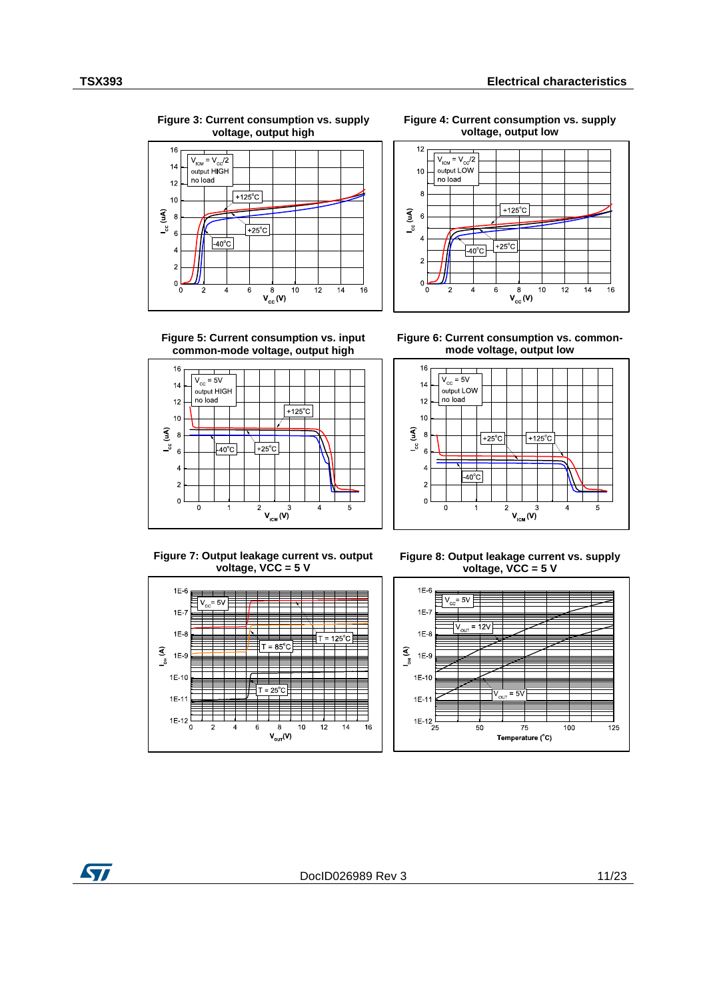**Figure 3: Current consumption vs. supply voltage, output high**



**Figure 4: Current consumption vs. supply voltage, output low**



**Figure 5: Current consumption vs. input common-mode voltage, output high**



**Figure 6: Current consumption vs. commonmode voltage, output low**



**Figure 7: Output leakage current vs. output voltage, VCC = 5 V** 



**Figure 8: Output leakage current vs. supply voltage, VCC = 5 V**



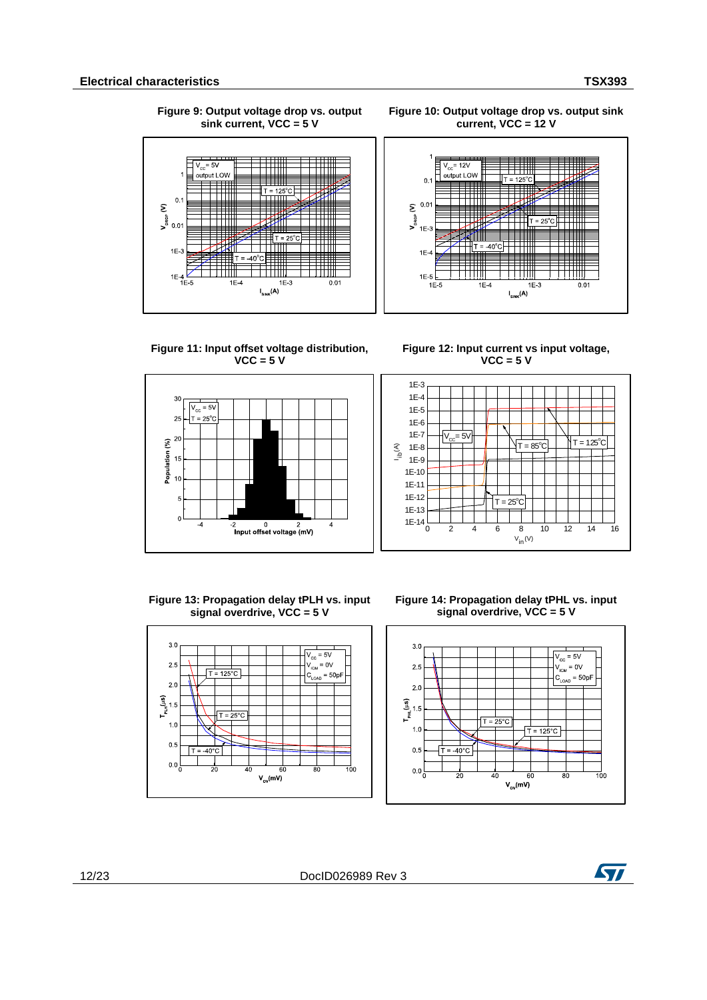**Figure 9: Output voltage drop vs. output sink current, VCC = 5 V**



**Figure 10: Output voltage drop vs. output sink current, VCC = 12 V**



**Figure 11: Input offset voltage distribution, VCC = 5 V**



<span id="page-11-0"></span>**Figure 12: Input current vs input voltage, VCC = 5 V**



**Figure 13: Propagation delay tPLH vs. input signal overdrive, VCC = 5 V**





 $3.0$  $V_{\text{cc}}$  = 5V  $V_{\text{ICM}} = 0V$  $2.5$  $\lceil \overline{T} = 125^{\circ} \text{C} \rceil$  $= 50nF$  $2.0$  $\Gamma_{\rm PLH}^{\rm (HS)}$ 1.5  $T =$  $25%$  $1<sup>c</sup>$  $0.5$ ⊿∩°∩.  $0<sub>0</sub>$ 100  $\overline{\overline{\vphantom{1}}\vphantom{1}}$  $V_{ov}(mV)$ 

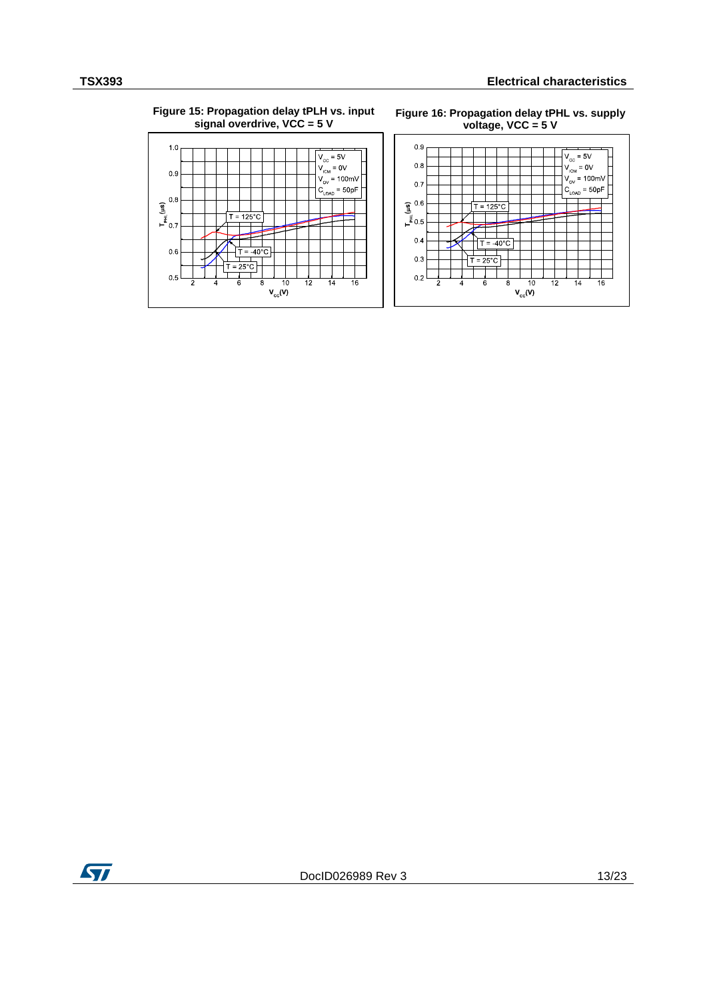### **Figure 15: Propagation delay tPLH vs. input signal overdrive, VCC = 5 V**







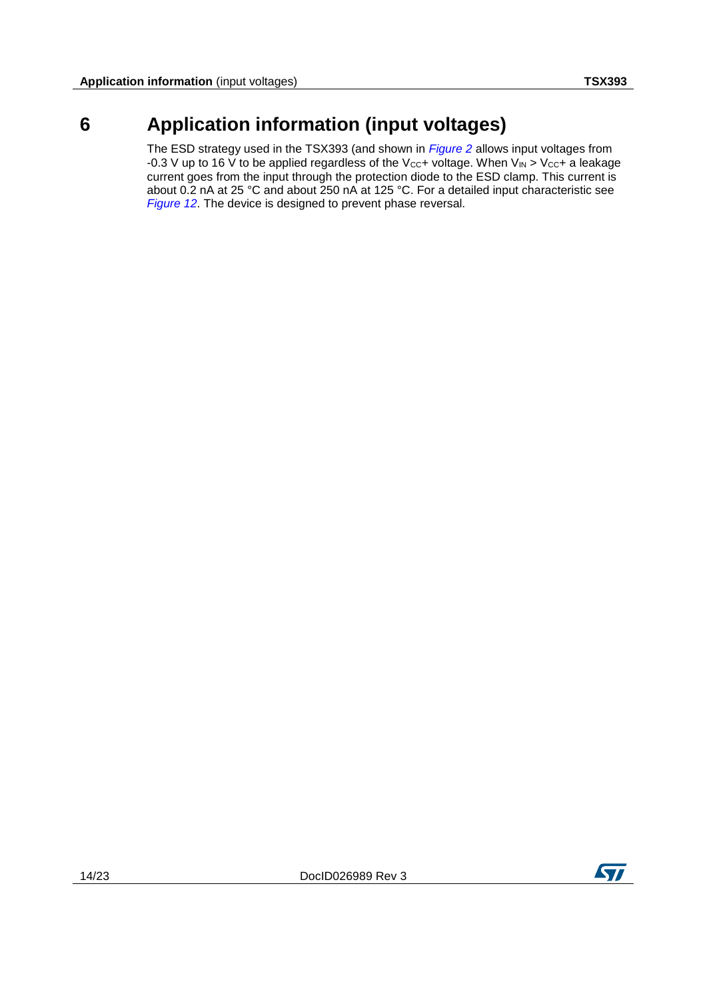## **6 Application information (input voltages)**

<span id="page-13-0"></span>The ESD strategy used in the TSX393 (and shown in *[Figure 2](#page-5-1)* allows input voltages from -0.3 V up to 16 V to be applied regardless of the V<sub>CC</sub>+ voltage. When V<sub>IN</sub> > V<sub>CC</sub>+ a leakage current goes from the input through the protection diode to the ESD clamp. This current is about 0.2 nA at 25 °C and about 250 nA at 125 °C. For a detailed input characteristic see *[Figure 12](#page-11-0)*. The device is designed to prevent phase reversal.

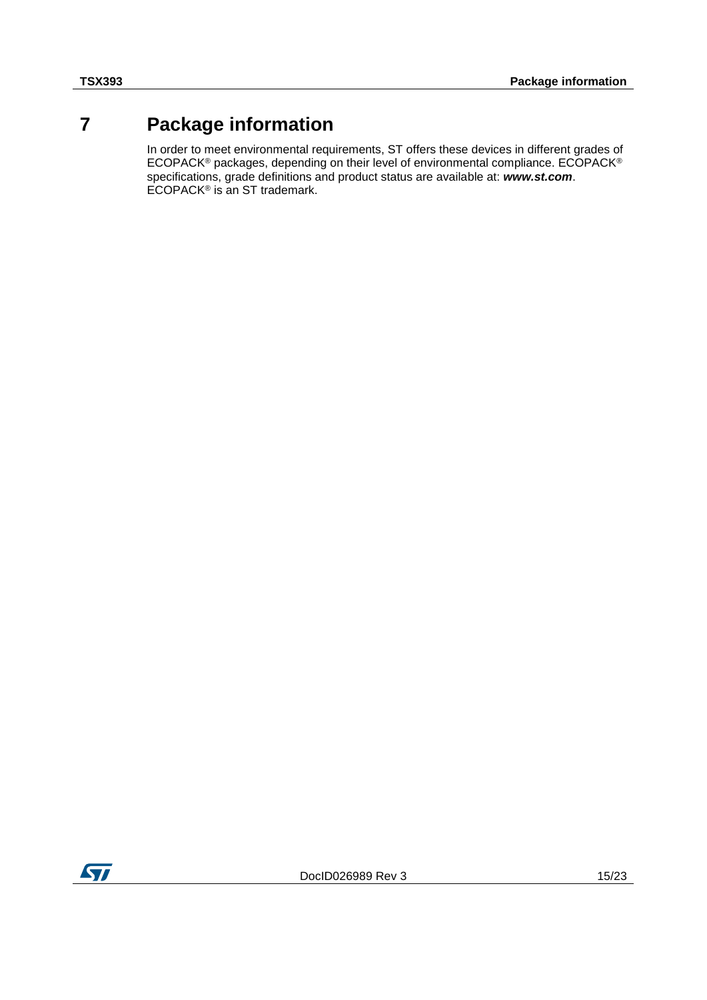## **7 Package information**

<span id="page-14-0"></span>In order to meet environmental requirements, ST offers these devices in different grades of ECOPACK® packages, depending on their level of environmental compliance. ECOPACK® specifications, grade definitions and product status are available at: *www.st.com*. ECOPACK<sup>®</sup> is an ST trademark.

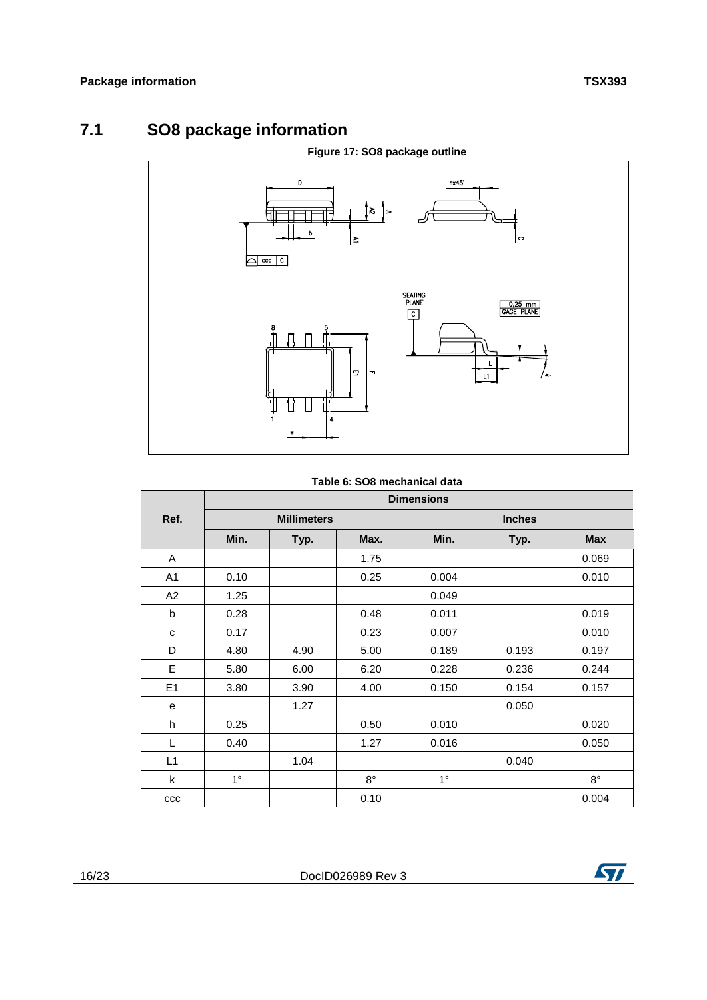## **7.1 SO8 package information**

<span id="page-15-0"></span>

### **Table 6: SO8 mechanical data**

|                |                    | <b>Dimensions</b> |             |             |       |             |
|----------------|--------------------|-------------------|-------------|-------------|-------|-------------|
| Ref.           | <b>Millimeters</b> |                   |             |             |       |             |
|                | Min.               | Typ.              | Max.        | Min.        | Typ.  | <b>Max</b>  |
| A              |                    |                   | 1.75        |             |       | 0.069       |
| A <sub>1</sub> | 0.10               |                   | 0.25        | 0.004       |       | 0.010       |
| A2             | 1.25               |                   |             | 0.049       |       |             |
| b              | 0.28               |                   | 0.48        | 0.011       |       | 0.019       |
| C              | 0.17               |                   | 0.23        | 0.007       |       | 0.010       |
| D              | 4.80               | 4.90              | 5.00        | 0.189       | 0.193 | 0.197       |
| E              | 5.80               | 6.00              | 6.20        | 0.228       | 0.236 | 0.244       |
| E1             | 3.80               | 3.90              | 4.00        | 0.150       | 0.154 | 0.157       |
| е              |                    | 1.27              |             |             | 0.050 |             |
| h              | 0.25               |                   | 0.50        | 0.010       |       | 0.020       |
| L              | 0.40               |                   | 1.27        | 0.016       |       | 0.050       |
| L1             |                    | 1.04              |             |             | 0.040 |             |
| $\mathsf{k}$   | $1^{\circ}$        |                   | $8^{\circ}$ | $1^{\circ}$ |       | $8^{\circ}$ |
| ccc            |                    |                   | 0.10        |             |       | 0.004       |

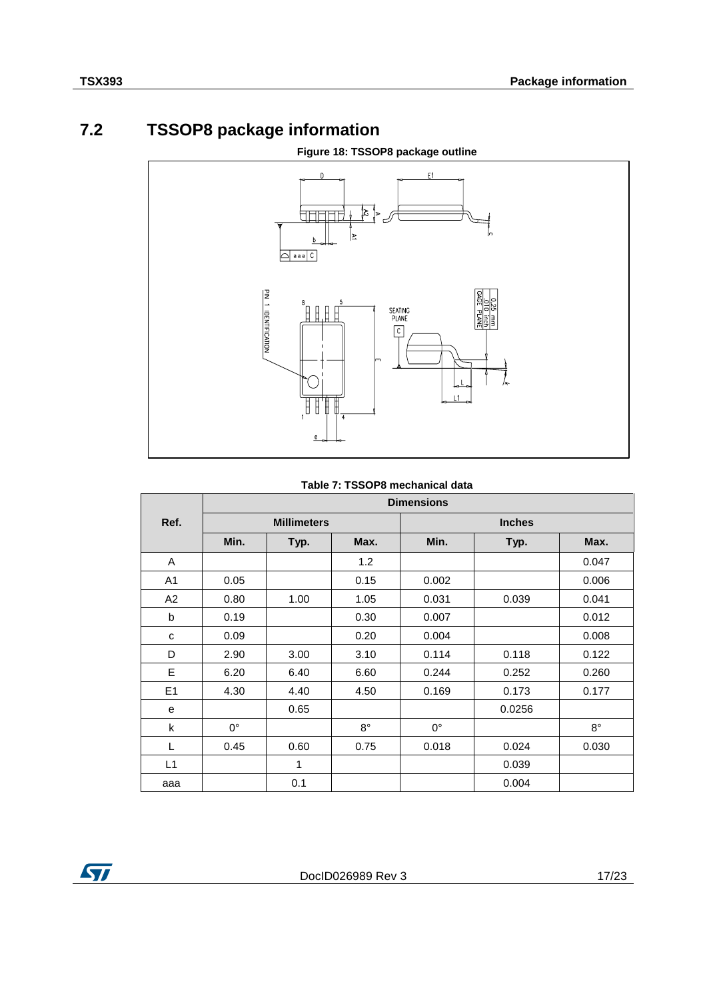## **7.2 TSSOP8 package information**

<span id="page-16-0"></span>

### **Table 7: TSSOP8 mechanical data**

|      | <b>Dimensions</b>  |      |             |               |        |             |  |
|------|--------------------|------|-------------|---------------|--------|-------------|--|
| Ref. | <b>Millimeters</b> |      |             | <b>Inches</b> |        |             |  |
|      | Min.               | Typ. | Max.        | Min.          | Typ.   | Max.        |  |
| A    |                    |      | 1.2         |               |        | 0.047       |  |
| A1   | 0.05               |      | 0.15        | 0.002         |        | 0.006       |  |
| A2   | 0.80               | 1.00 | 1.05        | 0.031         | 0.039  | 0.041       |  |
| b    | 0.19               |      | 0.30        | 0.007         |        | 0.012       |  |
| C    | 0.09               |      | 0.20        | 0.004         |        | 0.008       |  |
| D    | 2.90               | 3.00 | 3.10        | 0.114         | 0.118  | 0.122       |  |
| E    | 6.20               | 6.40 | 6.60        | 0.244         | 0.252  | 0.260       |  |
| E1   | 4.30               | 4.40 | 4.50        | 0.169         | 0.173  | 0.177       |  |
| e    |                    | 0.65 |             |               | 0.0256 |             |  |
| k    | $0^{\circ}$        |      | $8^{\circ}$ | $0^{\circ}$   |        | $8^{\circ}$ |  |
| L    | 0.45               | 0.60 | 0.75        | 0.018         | 0.024  | 0.030       |  |
| L1   |                    | 1    |             |               | 0.039  |             |  |
| aaa  |                    | 0.1  |             |               | 0.004  |             |  |

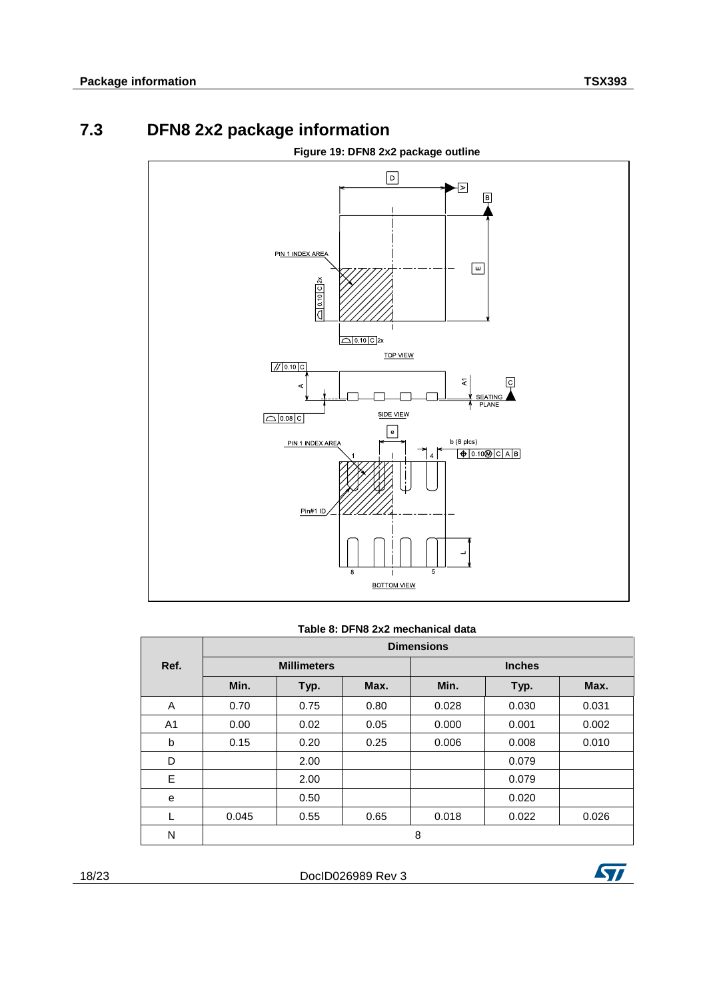<span id="page-17-0"></span>

## **7.3 DFN8 2x2 package information**

### **Table 8: DFN8 2x2 mechanical data**

|      |       |                    |      | <b>Dimensions</b> |       |       |  |
|------|-------|--------------------|------|-------------------|-------|-------|--|
| Ref. |       | <b>Millimeters</b> |      | <b>Inches</b>     |       |       |  |
|      | Min.  | Typ.               | Max. | Min.              | Typ.  | Max.  |  |
| A    | 0.70  | 0.75               | 0.80 | 0.028             | 0.030 | 0.031 |  |
| A1   | 0.00  | 0.02               | 0.05 | 0.000             | 0.001 | 0.002 |  |
| b    | 0.15  | 0.20               | 0.25 | 0.006             | 0.008 | 0.010 |  |
| D    |       | 2.00               |      |                   | 0.079 |       |  |
| E    |       | 2.00               |      |                   | 0.079 |       |  |
| e    |       | 0.50               |      |                   | 0.020 |       |  |
|      | 0.045 | 0.55               | 0.65 | 0.018             | 0.022 | 0.026 |  |
| N    |       |                    |      | 8                 |       |       |  |

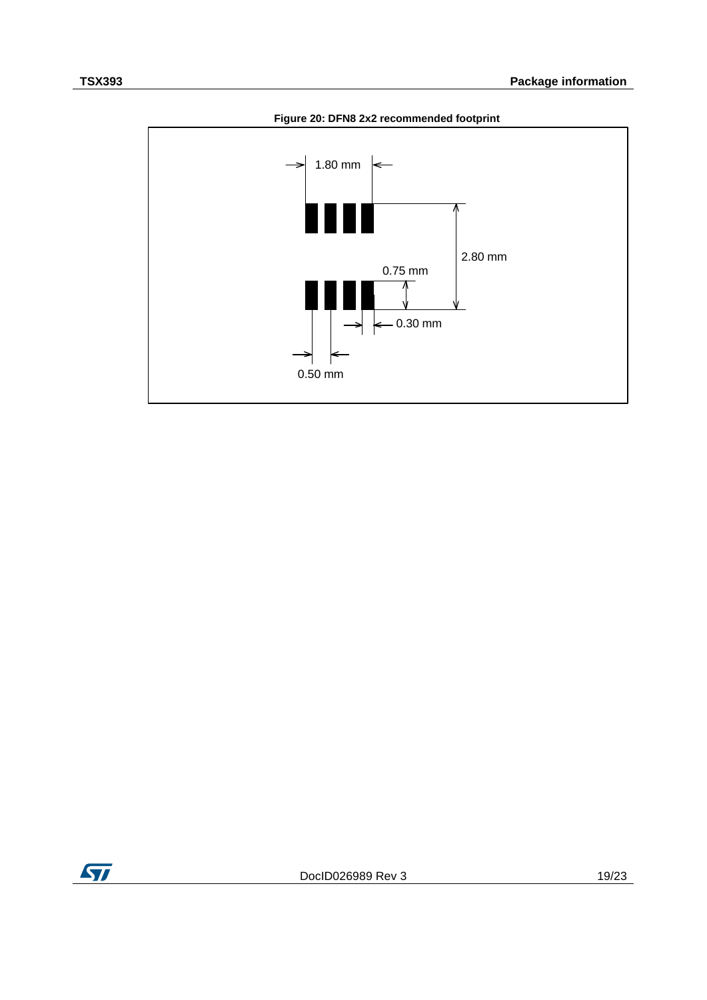

**Figure 20: DFN8 2x2 recommended footprint**

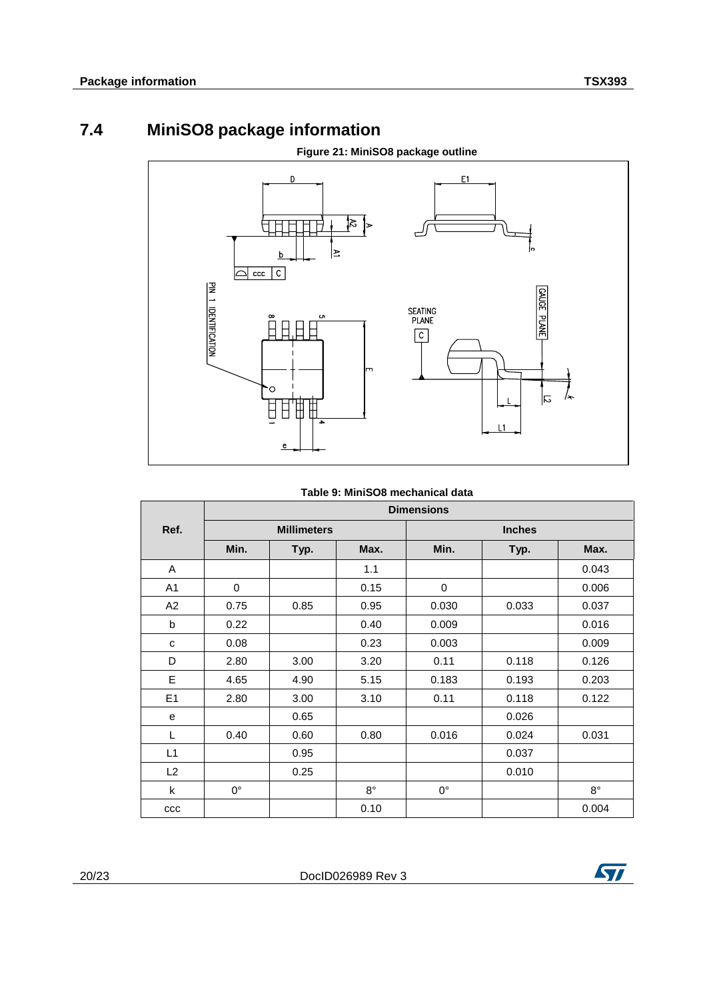## **7.4 MiniSO8 package information**

<span id="page-19-0"></span>

### **Table 9: MiniSO8 mechanical data**

|                | <b>Dimensions</b>  |      |             |               |       |             |  |  |  |
|----------------|--------------------|------|-------------|---------------|-------|-------------|--|--|--|
| Ref.           | <b>Millimeters</b> |      |             | <b>Inches</b> |       |             |  |  |  |
|                | Min.               | Typ. | Max.        | Min.          | Typ.  | Max.        |  |  |  |
| A              |                    |      | 1.1         |               |       | 0.043       |  |  |  |
| A <sub>1</sub> | $\Omega$           |      | 0.15        | 0             |       | 0.006       |  |  |  |
| A2             | 0.75               | 0.85 | 0.95        | 0.030         | 0.033 | 0.037       |  |  |  |
| b              | 0.22               |      | 0.40        | 0.009         |       | 0.016       |  |  |  |
| C              | 0.08               |      | 0.23        | 0.003         |       | 0.009       |  |  |  |
| D              | 2.80               | 3.00 | 3.20        | 0.11          | 0.118 | 0.126       |  |  |  |
| E              | 4.65               | 4.90 | 5.15        | 0.183         | 0.193 | 0.203       |  |  |  |
| E1             | 2.80               | 3.00 | 3.10        | 0.11          | 0.118 | 0.122       |  |  |  |
| e              |                    | 0.65 |             |               | 0.026 |             |  |  |  |
| L              | 0.40               | 0.60 | 0.80        | 0.016         | 0.024 | 0.031       |  |  |  |
| L1             |                    | 0.95 |             |               | 0.037 |             |  |  |  |
| L2             |                    | 0.25 |             |               | 0.010 |             |  |  |  |
| k              | $0^{\circ}$        |      | $8^{\circ}$ | $0^{\circ}$   |       | $8^{\circ}$ |  |  |  |
| $_{\rm ccc}$   |                    |      | 0.10        |               |       | 0.004       |  |  |  |

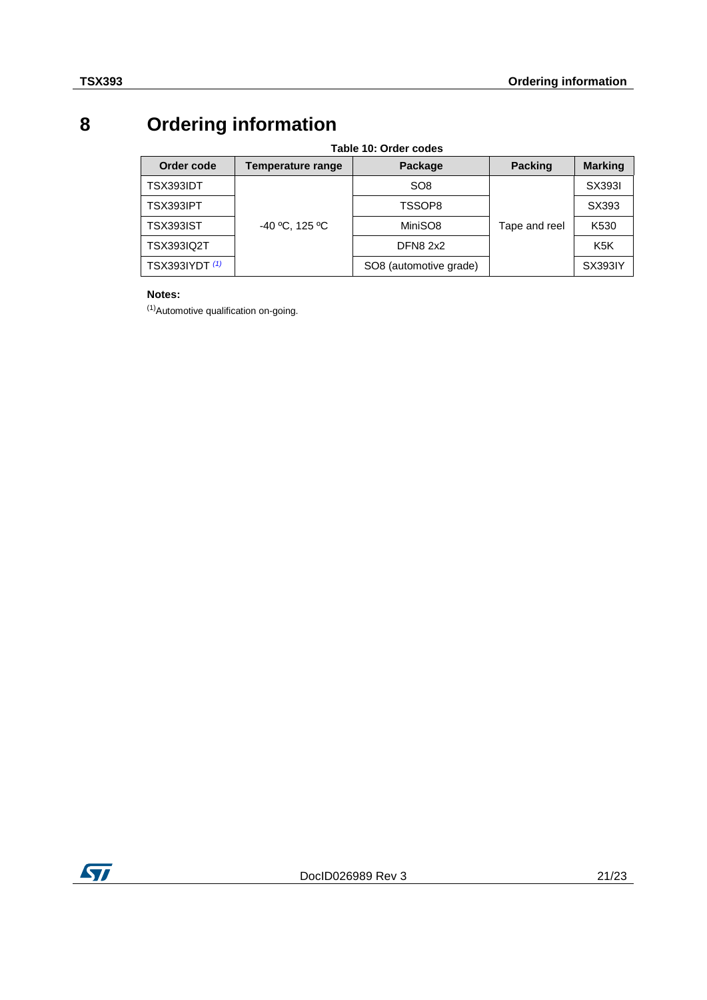# **8 Ordering information**

<span id="page-20-2"></span><span id="page-20-0"></span>

| Table 10: Order codes |                   |                        |                |                  |  |  |  |  |  |  |
|-----------------------|-------------------|------------------------|----------------|------------------|--|--|--|--|--|--|
| Order code            | Temperature range | Package                | <b>Packing</b> | <b>Marking</b>   |  |  |  |  |  |  |
| TSX393IDT             |                   | SO <sub>8</sub>        |                | SX3931           |  |  |  |  |  |  |
| TSX393IPT             |                   | TSSOP8                 |                | SX393            |  |  |  |  |  |  |
| TSX393IST             | $-40 °C$ , 125 °C | MiniSO8                | Tape and reel  | K530             |  |  |  |  |  |  |
| <b>TSX393IQ2T</b>     |                   | <b>DFN8 2x2</b>        |                | K <sub>5</sub> K |  |  |  |  |  |  |
| <b>TSX393IYDT</b> (1) |                   | SO8 (automotive grade) |                | <b>SX393IY</b>   |  |  |  |  |  |  |

### **Notes:**

<span id="page-20-1"></span>(1)Automotive qualification on-going.

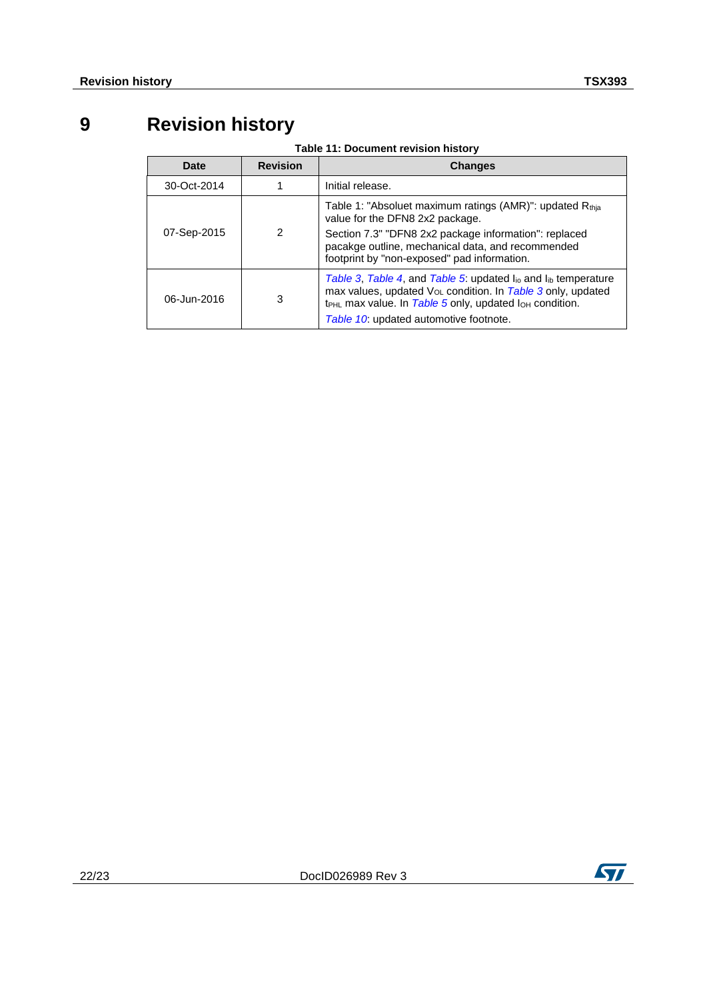# **9 Revision history**

<span id="page-21-0"></span>

| <u>rable TT. Document revision mistory</u> |                 |                                                                                                                                                                                                                                                                                  |
|--------------------------------------------|-----------------|----------------------------------------------------------------------------------------------------------------------------------------------------------------------------------------------------------------------------------------------------------------------------------|
| <b>Date</b>                                | <b>Revision</b> | <b>Changes</b>                                                                                                                                                                                                                                                                   |
| 30-Oct-2014                                |                 | Initial release.                                                                                                                                                                                                                                                                 |
| 07-Sep-2015                                | 2               | Table 1: "Absoluet maximum ratings (AMR)": updated $Rthia$<br>value for the DFN8 2x2 package.<br>Section 7.3" "DFN8 2x2 package information": replaced<br>pacakge outline, mechanical data, and recommended<br>footprint by "non-exposed" pad information.                       |
| 06-Jun-2016                                | 3               | Table 3, Table 4, and Table 5: updated $I_{\text{io}}$ and $I_{\text{ib}}$ temperature<br>max values, updated V <sub>OL</sub> condition. In Table 3 only, updated<br>$t_{PHL}$ max value. In Table 5 only, updated $I_{OH}$ condition.<br>Table 10: updated automotive footnote. |

### **Table 11: Document revision history**